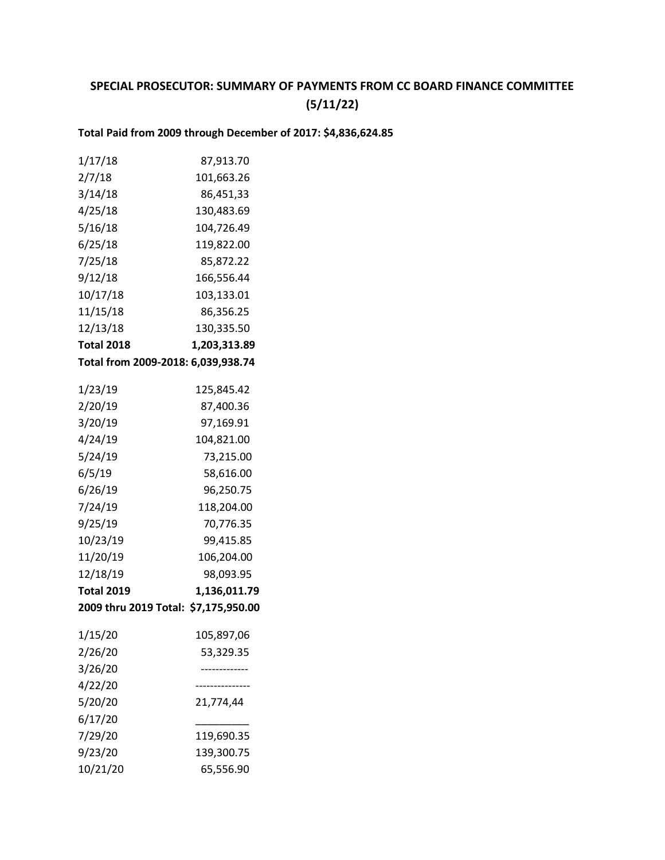# **SPECIAL PROSECUTOR: SUMMARY OF PAYMENTS FROM CC BOARD FINANCE COMMITTEE (5/11/22)**

## **Total Paid from 2009 through December of 2017: \$4,836,624.85**

| 1/17/18           | 87,913.70                            |
|-------------------|--------------------------------------|
| 2/7/18            | 101,663.26                           |
| 3/14/18           | 86,451,33                            |
| 4/25/18           | 130,483.69                           |
| 5/16/18           | 104,726.49                           |
| 6/25/18           | 119,822.00                           |
| 7/25/18           | 85,872.22                            |
| 9/12/18           | 166,556.44                           |
| 10/17/18          | 103,133.01                           |
| 11/15/18          | 86,356.25                            |
| 12/13/18          | 130,335.50                           |
| <b>Total 2018</b> | 1,203,313.89                         |
|                   | Total from 2009-2018: 6,039,938.74   |
| 1/23/19           | 125,845.42                           |
| 2/20/19           | 87,400.36                            |
| 3/20/19           | 97,169.91                            |
| 4/24/19           | 104,821.00                           |
| 5/24/19           | 73,215.00                            |
| 6/5/19            | 58,616.00                            |
| 6/26/19           | 96,250.75                            |
| 7/24/19           | 118,204.00                           |
| 9/25/19           | 70,776.35                            |
| 10/23/19          | 99,415.85                            |
| 11/20/19          | 106,204.00                           |
| 12/18/19          | 98,093.95                            |
| <b>Total 2019</b> | 1,136,011.79                         |
|                   | 2009 thru 2019 Total: \$7,175,950.00 |
| 1/15/20           | 105,897,06                           |
| 2/26/20           | 53,329.35                            |
| 3/26/20           |                                      |
| 4/22/20           |                                      |
| 5/20/20           | 21,774,44                            |
| 6/17/20           |                                      |
| 7/29/20           | 119,690.35                           |
| 9/23/20           | 139,300.75                           |
| 10/21/20          | 65,556.90                            |
|                   |                                      |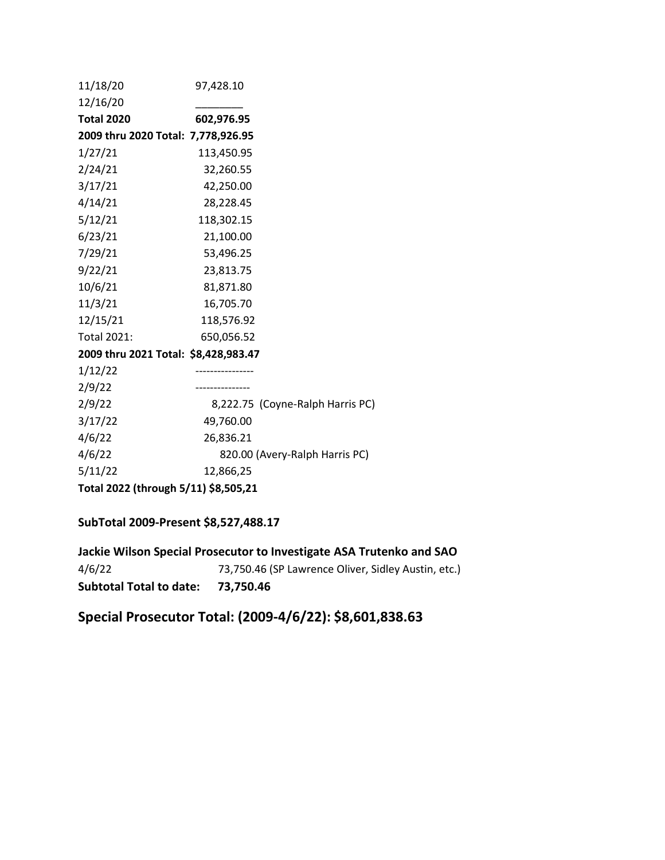| 11/18/20                             | 97,428.10                        |
|--------------------------------------|----------------------------------|
| 12/16/20                             |                                  |
| <b>Total 2020</b>                    | 602,976.95                       |
| 2009 thru 2020 Total: 7,778,926.95   |                                  |
| 1/27/21                              | 113,450.95                       |
| 2/24/21                              | 32,260.55                        |
| 3/17/21                              | 42,250.00                        |
| 4/14/21                              | 28,228.45                        |
| 5/12/21                              | 118,302.15                       |
| 6/23/21                              | 21,100.00                        |
| 7/29/21                              | 53,496.25                        |
| 9/22/21                              | 23,813.75                        |
| 10/6/21                              | 81,871.80                        |
| 11/3/21                              | 16,705.70                        |
| 12/15/21                             | 118,576.92                       |
| <b>Total 2021:</b>                   | 650,056.52                       |
| 2009 thru 2021 Total: \$8,428,983.47 |                                  |
| 1/12/22                              |                                  |
| 2/9/22                               | .                                |
| 2/9/22                               | 8,222.75 (Coyne-Ralph Harris PC) |
| 3/17/22                              | 49,760.00                        |
| 4/6/22                               | 26,836.21                        |
| 4/6/22                               | 820.00 (Avery-Ralph Harris PC)   |
| 5/11/22                              | 12,866,25                        |
| Total 2022 (through 5/11) \$8,505,21 |                                  |

## **SubTotal 2009-Present \$8,527,488.17**

**Jackie Wilson Special Prosecutor to Investigate ASA Trutenko and SAO** 4/6/2273,750.46 (SP Lawrence Oliver, Sidley Austin, etc.) **Subtotal Total to date: 73,750.46**

**Special Prosecutor Total: (2009-4/6/22): \$8,601,838.63**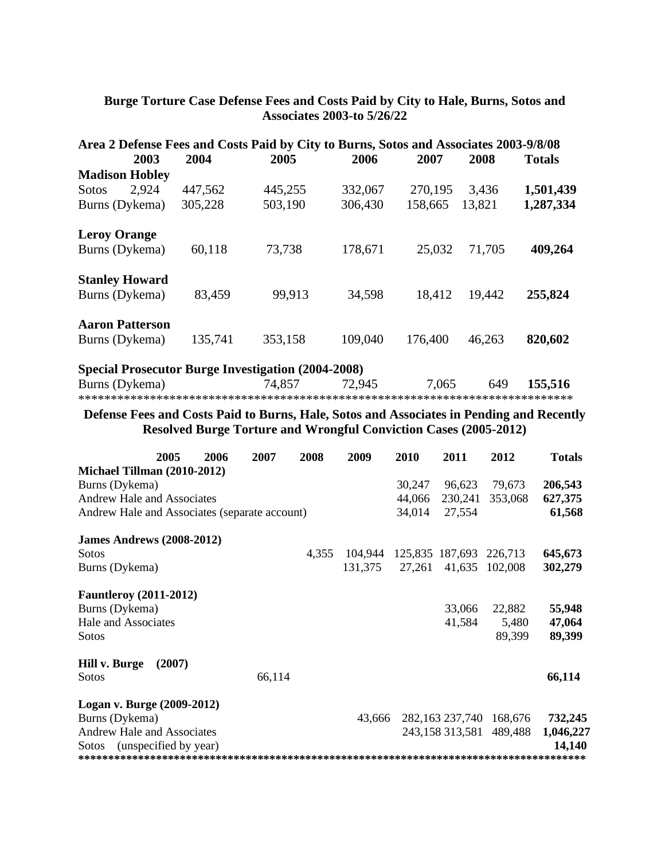## **Burge Torture Case Defense Fees and Costs Paid by City to Hale, Burns, Sotos and Associates 2003-to 5/26/22**

| Area 2 Defense Fees and Costs Paid by City to Burns, Sotos and Associates 2003-9/8/08 |         |         |         |         |        |               |
|---------------------------------------------------------------------------------------|---------|---------|---------|---------|--------|---------------|
| 2003                                                                                  | 2004    | 2005    | 2006    | 2007    | 2008   | <b>Totals</b> |
| <b>Madison Hobley</b>                                                                 |         |         |         |         |        |               |
| 2.924<br><b>Sotos</b>                                                                 | 447,562 | 445,255 | 332,067 | 270,195 | 3.436  | 1,501,439     |
| Burns (Dykema)                                                                        | 305,228 | 503,190 | 306,430 | 158,665 | 13,821 | 1,287,334     |
| <b>Leroy Orange</b>                                                                   |         |         |         |         |        |               |
| Burns (Dykema)                                                                        | 60,118  | 73,738  | 178,671 | 25,032  | 71,705 | 409,264       |
| <b>Stanley Howard</b>                                                                 |         |         |         |         |        |               |
| Burns (Dykema)                                                                        | 83,459  | 99,913  | 34,598  | 18,412  | 19,442 | 255,824       |
| <b>Aaron Patterson</b>                                                                |         |         |         |         |        |               |
| Burns (Dykema)                                                                        | 135,741 | 353,158 | 109,040 | 176,400 | 46,263 | 820,602       |
| <b>Special Prosecutor Burge Investigation (2004-2008)</b>                             |         |         |         |         |        |               |
| Burns (Dykema)                                                                        |         | 74,857  | 72,945  | 7,065   | 649    | 155,516       |

\*\*\*\*\*\*\*\*\*\*\*\*\*\*\*\*\*\*\*\*\*\*\*\*\*\*\*\*\*\*\*\*\*\*\*\*\*\*\*\*\*\*\*\*\*\*\*\*\*\*\*\*\*\*\*\*\*\*\*\*\*\*\*\*\*\*\*\*\*\*\*\*\*\*\*\*

## **Defense Fees and Costs Paid to Burns, Hale, Sotos and Associates in Pending and Recently Resolved Burge Torture and Wrongful Conviction Cases (2005-2012)**

|                                               | 2005   | 2006 | 2007   | 2008  | 2009    | 2010   | 2011            | 2012                    | <b>Totals</b> |
|-----------------------------------------------|--------|------|--------|-------|---------|--------|-----------------|-------------------------|---------------|
| Michael Tillman (2010-2012)                   |        |      |        |       |         |        |                 |                         |               |
| Burns (Dykema)                                |        |      |        |       |         | 30,247 | 96,623          | 79,673                  | 206,543       |
| <b>Andrew Hale and Associates</b>             |        |      |        |       |         | 44,066 | 230,241         | 353,068                 | 627,375       |
| Andrew Hale and Associates (separate account) |        |      |        |       |         | 34,014 | 27,554          |                         | 61,568        |
| <b>James Andrews (2008-2012)</b>              |        |      |        |       |         |        |                 |                         |               |
| <b>Sotos</b>                                  |        |      |        | 4,355 | 104,944 |        | 125,835 187,693 | 226,713                 | 645,673       |
| Burns (Dykema)                                |        |      |        |       | 131,375 | 27,261 | 41,635          | 102,008                 | 302,279       |
| <b>Fauntleroy</b> (2011-2012)                 |        |      |        |       |         |        |                 |                         |               |
| Burns (Dykema)                                |        |      |        |       |         |        | 33,066          | 22,882                  | 55,948        |
| Hale and Associates                           |        |      |        |       |         |        | 41,584          | 5,480                   | 47,064        |
| <b>Sotos</b>                                  |        |      |        |       |         |        |                 | 89,399                  | 89,399        |
| Hill v. Burge                                 | (2007) |      |        |       |         |        |                 |                         |               |
| <b>Sotos</b>                                  |        |      | 66,114 |       |         |        |                 |                         | 66,114        |
| Logan v. Burge (2009-2012)                    |        |      |        |       |         |        |                 |                         |               |
| Burns (Dykema)                                |        |      |        |       | 43,666  |        |                 | 282,163 237,740 168,676 | 732,245       |
| Andrew Hale and Associates                    |        |      |        |       |         |        | 243,158 313,581 | 489,488                 | 1,046,227     |
| (unspecified by year)<br><b>Sotos</b>         |        |      |        |       |         |        |                 |                         | 14,140        |
|                                               |        |      |        |       |         |        |                 |                         |               |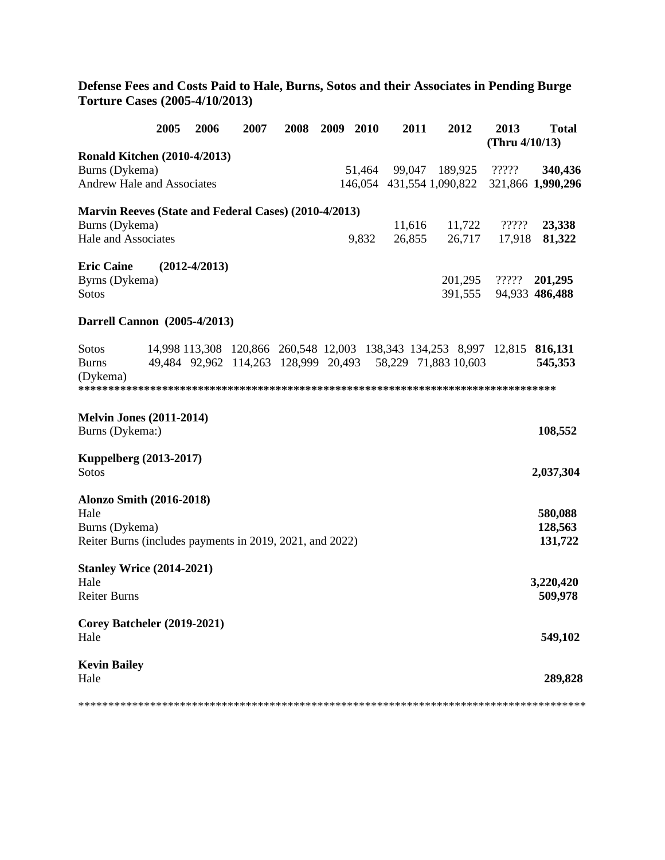**Defense Fees and Costs Paid to Hale, Burns, Sotos and their Associates in Pending Burge Torture Cases (2005-4/10/2013)** 

|                                                          | 2005 | 2006            | 2007 | 2008 | 2009 | <b>2010</b> | 2011   | 2012                                                                       | 2013<br>(Thru $4/10/13$ ) | <b>Total</b>   |
|----------------------------------------------------------|------|-----------------|------|------|------|-------------|--------|----------------------------------------------------------------------------|---------------------------|----------------|
| <b>Ronald Kitchen (2010-4/2013)</b>                      |      |                 |      |      |      |             |        |                                                                            |                           |                |
| Burns (Dykema)                                           |      |                 |      |      |      |             |        | 51,464 99,047 189,925                                                      | ?????                     | 340,436        |
| <b>Andrew Hale and Associates</b>                        |      |                 |      |      |      |             |        | 146,054 431,554 1,090,822 321,866 1,990,296                                |                           |                |
| Marvin Reeves (State and Federal Cases) (2010-4/2013)    |      |                 |      |      |      |             |        |                                                                            |                           |                |
| Burns (Dykema)                                           |      |                 |      |      |      |             | 11,616 | 11,722                                                                     | ?????                     | 23,338         |
| Hale and Associates                                      |      |                 |      |      |      | 9,832       | 26,855 | 26,717                                                                     | 17,918                    | 81,322         |
| <b>Eric Caine</b>                                        |      | $(2012-4/2013)$ |      |      |      |             |        |                                                                            |                           |                |
| Byrns (Dykema)                                           |      |                 |      |      |      |             |        |                                                                            | 201,295 ?????             | 201,295        |
| Sotos                                                    |      |                 |      |      |      |             |        | 391,555                                                                    |                           | 94,933 486,488 |
| Darrell Cannon (2005-4/2013)                             |      |                 |      |      |      |             |        |                                                                            |                           |                |
| Sotos                                                    |      |                 |      |      |      |             |        | 14,998 113,308 120,866 260,548 12,003 138,343 134,253 8,997 12,815 816,131 |                           |                |
| <b>Burns</b>                                             |      |                 |      |      |      |             |        | 49,484 92,962 114,263 128,999 20,493 58,229 71,883 10,603                  |                           | 545,353        |
| (Dykema)                                                 |      |                 |      |      |      |             |        |                                                                            |                           |                |
| <b>Melvin Jones (2011-2014)</b>                          |      |                 |      |      |      |             |        |                                                                            |                           |                |
| Burns (Dykema:)                                          |      |                 |      |      |      |             |        |                                                                            |                           | 108,552        |
| <b>Kuppelberg (2013-2017)</b>                            |      |                 |      |      |      |             |        |                                                                            |                           |                |
| Sotos                                                    |      |                 |      |      |      |             |        |                                                                            |                           | 2,037,304      |
| <b>Alonzo Smith (2016-2018)</b>                          |      |                 |      |      |      |             |        |                                                                            |                           |                |
| Hale                                                     |      |                 |      |      |      |             |        |                                                                            |                           | 580,088        |
| Burns (Dykema)                                           |      |                 |      |      |      |             |        |                                                                            |                           | 128,563        |
| Reiter Burns (includes payments in 2019, 2021, and 2022) |      |                 |      |      |      |             |        |                                                                            |                           | 131,722        |
| <b>Stanley Wrice (2014-2021)</b>                         |      |                 |      |      |      |             |        |                                                                            |                           |                |
| Hale                                                     |      |                 |      |      |      |             |        |                                                                            |                           | 3,220,420      |
| <b>Reiter Burns</b>                                      |      |                 |      |      |      |             |        |                                                                            |                           | 509,978        |
| Corey Batcheler (2019-2021)<br>Hale                      |      |                 |      |      |      |             |        |                                                                            |                           | 549,102        |
|                                                          |      |                 |      |      |      |             |        |                                                                            |                           |                |
| <b>Kevin Bailey</b><br>Hale                              |      |                 |      |      |      |             |        |                                                                            |                           | 289,828        |
|                                                          |      |                 |      |      |      |             |        |                                                                            |                           |                |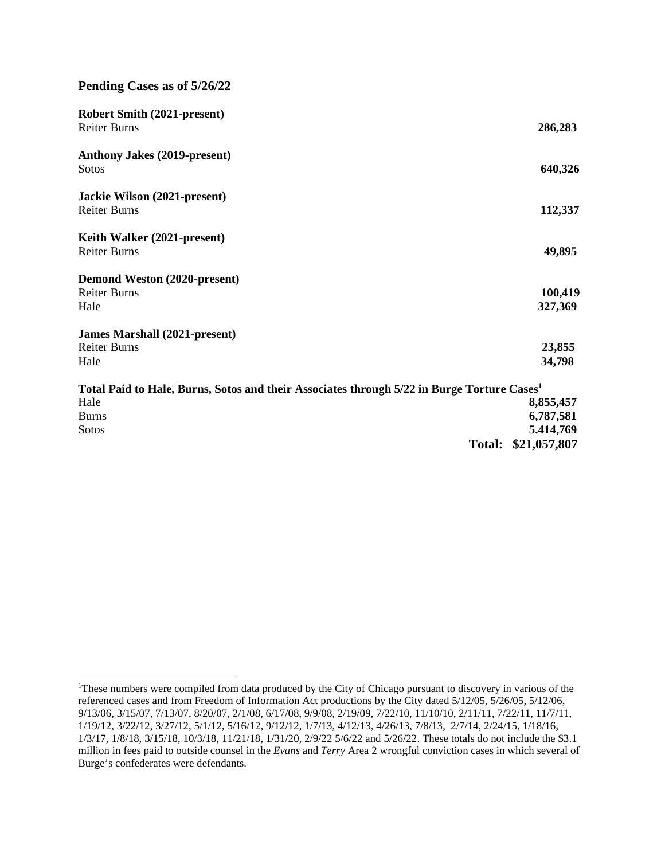### **Pending Cases as of 5/26/22**

| <b>Robert Smith (2021-present)</b>                                                                     |           |
|--------------------------------------------------------------------------------------------------------|-----------|
| <b>Reiter Burns</b>                                                                                    | 286,283   |
| <b>Anthony Jakes (2019-present)</b>                                                                    |           |
| Sotos                                                                                                  | 640,326   |
| Jackie Wilson (2021-present)                                                                           |           |
| <b>Reiter Burns</b>                                                                                    | 112,337   |
| Keith Walker (2021-present)                                                                            |           |
| <b>Reiter Burns</b>                                                                                    | 49,895    |
| Demond Weston (2020-present)                                                                           |           |
| <b>Reiter Burns</b>                                                                                    | 100,419   |
| Hale                                                                                                   | 327,369   |
| <b>James Marshall (2021-present)</b>                                                                   |           |
| <b>Reiter Burns</b>                                                                                    | 23,855    |
| Hale                                                                                                   | 34,798    |
| Total Paid to Hale, Burns, Sotos and their Associates through 5/22 in Burge Torture Cases <sup>1</sup> |           |
| Hale                                                                                                   | 8,855,457 |
| <b>Burns</b>                                                                                           | 6,787,581 |

Sotos **5.414,769 Total: \$21,057,807** 

<sup>&</sup>lt;sup>1</sup>These numbers were compiled from data produced by the City of Chicago pursuant to discovery in various of the referenced cases and from Freedom of Information Act productions by the City dated 5/12/05, 5/26/05, 5/12/06, 9/13/06, 3/15/07, 7/13/07, 8/20/07, 2/1/08, 6/17/08, 9/9/08, 2/19/09, 7/22/10, 11/10/10, 2/11/11, 7/22/11, 11/7/11, 1/19/12, 3/22/12, 3/27/12, 5/1/12, 5/16/12, 9/12/12, 1/7/13, 4/12/13, 4/26/13, 7/8/13, 2/7/14, 2/24/15, 1/18/16, 1/3/17, 1/8/18, 3/15/18, 10/3/18, 11/21/18, 1/31/20, 2/9/22 5/6/22 and 5/26/22. These totals do not include the \$3.1 million in fees paid to outside counsel in the *Evans* and *Terry* Area 2 wrongful conviction cases in which several of Burge's confederates were defendants.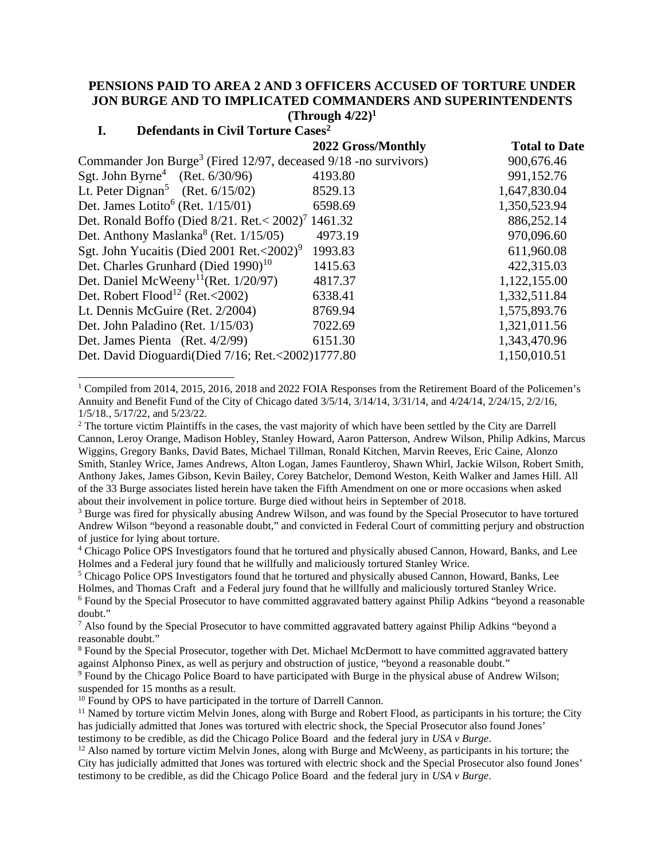## **PENSIONS PAID TO AREA 2 AND 3 OFFICERS ACCUSED OF TORTURE UNDER JON BURGE AND TO IMPLICATED COMMANDERS AND SUPERINTENDENTS**

## **(Through 4/22)<sup>1</sup>**

### **I. Defendants in Civil Torture Cases<sup>2</sup>**

| 2022 Gross/Monthly                                                            | <b>Total to Date</b> |
|-------------------------------------------------------------------------------|----------------------|
| Commander Jon Burge <sup>3</sup> (Fired 12/97, deceased $9/18$ -no survivors) | 900,676.46           |
| 4193.80                                                                       | 991,152.76           |
| 8529.13                                                                       | 1,647,830.04         |
| 6598.69                                                                       | 1,350,523.94         |
| Det. Ronald Boffo (Died $8/21$ . Ret. < $2002$ ) <sup>7</sup> 1461.32         | 886,252.14           |
| 4973.19                                                                       | 970,096.60           |
| 1993.83                                                                       | 611,960.08           |
| 1415.63                                                                       | 422,315.03           |
| 4817.37                                                                       | 1,122,155.00         |
| 6338.41                                                                       | 1,332,511.84         |
| 8769.94                                                                       | 1,575,893.76         |
| 7022.69                                                                       | 1,321,011.56         |
| 6151.30                                                                       | 1,343,470.96         |
| Det. David Dioguardi(Died 7/16; Ret.<2002)1777.80                             | 1,150,010.51         |
|                                                                               |                      |

<sup>1</sup> Compiled from 2014, 2015, 2016, 2018 and 2022 FOIA Responses from the Retirement Board of the Policemen's Annuity and Benefit Fund of the City of Chicago dated 3/5/14, 3/14/14, 3/31/14, and 4/24/14, 2/24/15, 2/2/16, 1/5/18., 5/17/22, and 5/23/22.

<sup>5</sup> Chicago Police OPS Investigators found that he tortured and physically abused Cannon, Howard, Banks, Lee Holmes, and Thomas Craft and a Federal jury found that he willfully and maliciously tortured Stanley Wrice.

<sup>9</sup> Found by the Chicago Police Board to have participated with Burge in the physical abuse of Andrew Wilson; suspended for 15 months as a result.

 $2<sup>2</sup>$  The torture victim Plaintiffs in the cases, the vast majority of which have been settled by the City are Darrell Cannon, Leroy Orange, Madison Hobley, Stanley Howard, Aaron Patterson, Andrew Wilson, Philip Adkins, Marcus Wiggins, Gregory Banks, David Bates, Michael Tillman, Ronald Kitchen, Marvin Reeves, Eric Caine, Alonzo Smith, Stanley Wrice, James Andrews, Alton Logan, James Fauntleroy, Shawn Whirl, Jackie Wilson, Robert Smith, Anthony Jakes, James Gibson, Kevin Bailey, Corey Batchelor, Demond Weston, Keith Walker and James Hill. All of the 33 Burge associates listed herein have taken the Fifth Amendment on one or more occasions when asked about their involvement in police torture. Burge died without heirs in September of 2018.

<sup>&</sup>lt;sup>3</sup> Burge was fired for physically abusing Andrew Wilson, and was found by the Special Prosecutor to have tortured Andrew Wilson "beyond a reasonable doubt," and convicted in Federal Court of committing perjury and obstruction of justice for lying about torture.

<sup>4</sup> Chicago Police OPS Investigators found that he tortured and physically abused Cannon, Howard, Banks, and Lee Holmes and a Federal jury found that he willfully and maliciously tortured Stanley Wrice.

<sup>&</sup>lt;sup>6</sup> Found by the Special Prosecutor to have committed aggravated battery against Philip Adkins "beyond a reasonable doubt."

<sup>&</sup>lt;sup>7</sup> Also found by the Special Prosecutor to have committed aggravated battery against Philip Adkins "beyond a reasonable doubt."

<sup>&</sup>lt;sup>8</sup> Found by the Special Prosecutor, together with Det. Michael McDermott to have committed aggravated battery against Alphonso Pinex, as well as perjury and obstruction of justice, "beyond a reasonable doubt."

<sup>&</sup>lt;sup>10</sup> Found by OPS to have participated in the torture of Darrell Cannon.

<sup>&</sup>lt;sup>11</sup> Named by torture victim Melvin Jones, along with Burge and Robert Flood, as participants in his torture; the City has judicially admitted that Jones was tortured with electric shock, the Special Prosecutor also found Jones' testimony to be credible, as did the Chicago Police Board and the federal jury in *USA v Burge*.

 $12$  Also named by torture victim Melvin Jones, along with Burge and McWeeny, as participants in his torture; the City has judicially admitted that Jones was tortured with electric shock and the Special Prosecutor also found Jones' testimony to be credible, as did the Chicago Police Board and the federal jury in *USA v Burge*.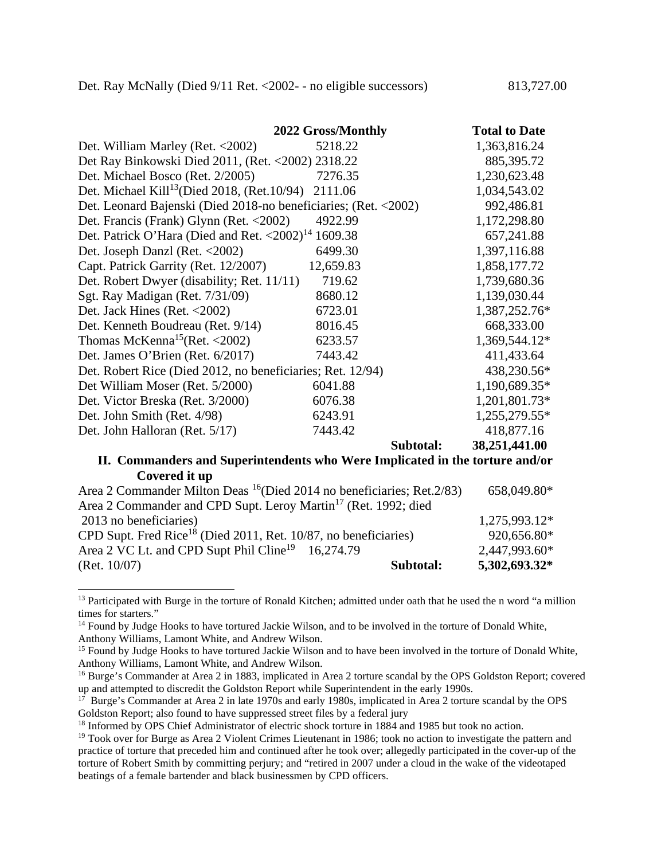|                                                                        | 2022 Gross/Monthly | <b>Total to Date</b> |
|------------------------------------------------------------------------|--------------------|----------------------|
| Det. William Marley (Ret. <2002)                                       | 5218.22            | 1,363,816.24         |
| Det Ray Binkowski Died 2011, (Ret. < 2002) 2318.22                     |                    | 885,395.72           |
| Det. Michael Bosco (Ret. 2/2005)                                       | 7276.35            | 1,230,623.48         |
| Det. Michael Kill <sup>13</sup> (Died 2018, (Ret.10/94) 2111.06        |                    | 1,034,543.02         |
| Det. Leonard Bajenski (Died 2018-no beneficiaries; (Ret. <2002)        |                    | 992,486.81           |
| Det. Francis (Frank) Glynn (Ret. <2002)                                | 4922.99            | 1,172,298.80         |
| Det. Patrick O'Hara (Died and Ret. $\langle 2002 \rangle^{14}$ 1609.38 |                    | 657,241.88           |
| Det. Joseph Danzl (Ret. <2002)                                         | 6499.30            | 1,397,116.88         |
| Capt. Patrick Garrity (Ret. 12/2007)                                   | 12,659.83          | 1,858,177.72         |
| Det. Robert Dwyer (disability; Ret. 11/11)                             | 719.62             | 1,739,680.36         |
| Sgt. Ray Madigan (Ret. 7/31/09)                                        | 8680.12            | 1,139,030.44         |
| Det. Jack Hines (Ret. $\langle 2002 \rangle$                           | 6723.01            | 1,387,252.76*        |
| Det. Kenneth Boudreau (Ret. 9/14)                                      | 8016.45            | 668,333.00           |
| Thomas McKenna <sup>15</sup> (Ret. <2002)                              | 6233.57            | 1,369,544.12*        |
| Det. James O'Brien (Ret. 6/2017)                                       | 7443.42            | 411,433.64           |
| Det. Robert Rice (Died 2012, no beneficiaries; Ret. 12/94)             |                    | 438,230.56*          |
| Det William Moser (Ret. 5/2000)                                        | 6041.88            | 1,190,689.35*        |
| Det. Victor Breska (Ret. 3/2000)                                       | 6076.38            | 1,201,801.73*        |
| Det. John Smith (Ret. 4/98)                                            | 6243.91            | 1,255,279.55*        |
| Det. John Halloran (Ret. 5/17)                                         | 7443.42            | 418,877.16           |
|                                                                        | Subtotal:          | 38,251,441.00        |

#### **II. Commanders and Superintendents who Were Implicated in the torture and/or Covered it up**

| Area 2 Commander Milton Deas ${}^{16}$ (Died 2014 no beneficiaries; Ret. 2/83) |           | 658,049.80*   |
|--------------------------------------------------------------------------------|-----------|---------------|
| Area 2 Commander and CPD Supt. Leroy Martin <sup>17</sup> (Ret. 1992; died     |           |               |
| 2013 no beneficiaries)                                                         |           | 1,275,993.12* |
| CPD Supt. Fred Rice <sup>18</sup> (Died 2011, Ret. 10/87, no beneficiaries)    |           | 920,656.80*   |
| Area 2 VC Lt. and CPD Supt Phil Cline <sup>19</sup> 16,274.79                  |           | 2,447,993.60* |
| (Ret. 10/07)                                                                   | Subtotal: | 5,302,693.32* |

<sup>&</sup>lt;sup>13</sup> Participated with Burge in the torture of Ronald Kitchen; admitted under oath that he used the n word "a million times for starters."

<sup>&</sup>lt;sup>14</sup> Found by Judge Hooks to have tortured Jackie Wilson, and to be involved in the torture of Donald White, Anthony Williams, Lamont White, and Andrew Wilson.

<sup>&</sup>lt;sup>15</sup> Found by Judge Hooks to have tortured Jackie Wilson and to have been involved in the torture of Donald White, Anthony Williams, Lamont White, and Andrew Wilson.

<sup>&</sup>lt;sup>16</sup> Burge's Commander at Area 2 in 1883, implicated in Area 2 torture scandal by the OPS Goldston Report; covered up and attempted to discredit the Goldston Report while Superintendent in the early 1990s.

<sup>17</sup> Burge's Commander at Area 2 in late 1970s and early 1980s, implicated in Area 2 torture scandal by the OPS Goldston Report; also found to have suppressed street files by a federal jury

<sup>&</sup>lt;sup>18</sup> Informed by OPS Chief Administrator of electric shock torture in 1884 and 1985 but took no action.

<sup>&</sup>lt;sup>19</sup> Took over for Burge as Area 2 Violent Crimes Lieutenant in 1986; took no action to investigate the pattern and practice of torture that preceded him and continued after he took over; allegedly participated in the cover-up of the torture of Robert Smith by committing perjury; and "retired in 2007 under a cloud in the wake of the videotaped beatings of a female bartender and black businessmen by CPD officers.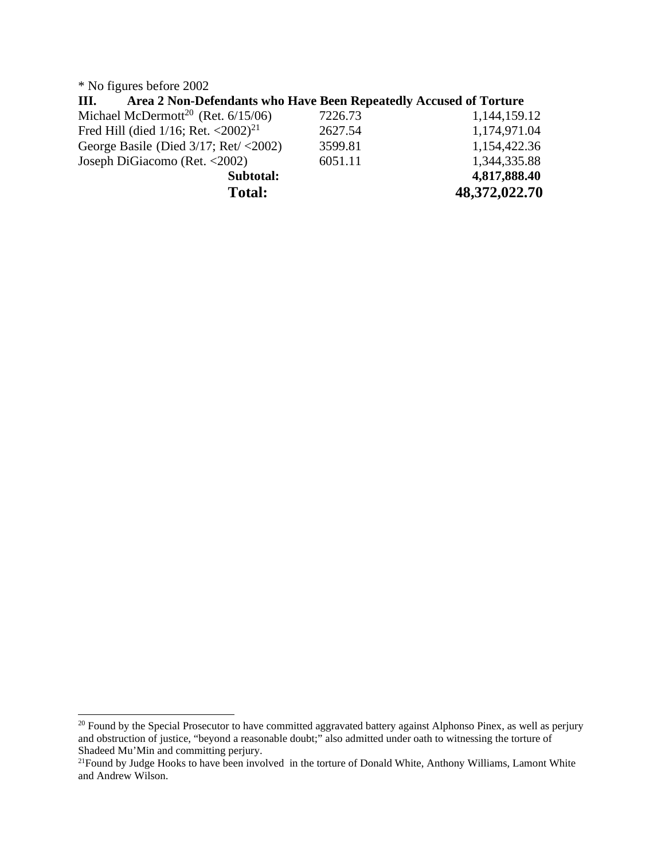\* No figures before 2002

| Area 2 Non-Defendants who Have Been Repeatedly Accused of Torture<br>Ш. |         |               |
|-------------------------------------------------------------------------|---------|---------------|
| Michael McDermott <sup>20</sup> (Ret. $6/15/06$ )                       | 7226.73 | 1,144,159.12  |
| Fred Hill (died $1/16$ ; Ret. <2002) <sup>21</sup>                      | 2627.54 | 1,174,971.04  |
| George Basile (Died $3/17$ ; Ret/ <2002)                                | 3599.81 | 1,154,422.36  |
| Joseph DiGiacomo (Ret. <2002)                                           | 6051.11 | 1,344,335.88  |
| Subtotal:                                                               |         | 4,817,888.40  |
| <b>Total:</b>                                                           |         | 48,372,022.70 |

 $^{20}$  Found by the Special Prosecutor to have committed aggravated battery against Alphonso Pinex, as well as perjury and obstruction of justice, "beyond a reasonable doubt;" also admitted under oath to witnessing the torture of Shadeed Mu'Min and committing perjury.

 $21$ Found by Judge Hooks to have been involved in the torture of Donald White, Anthony Williams, Lamont White and Andrew Wilson.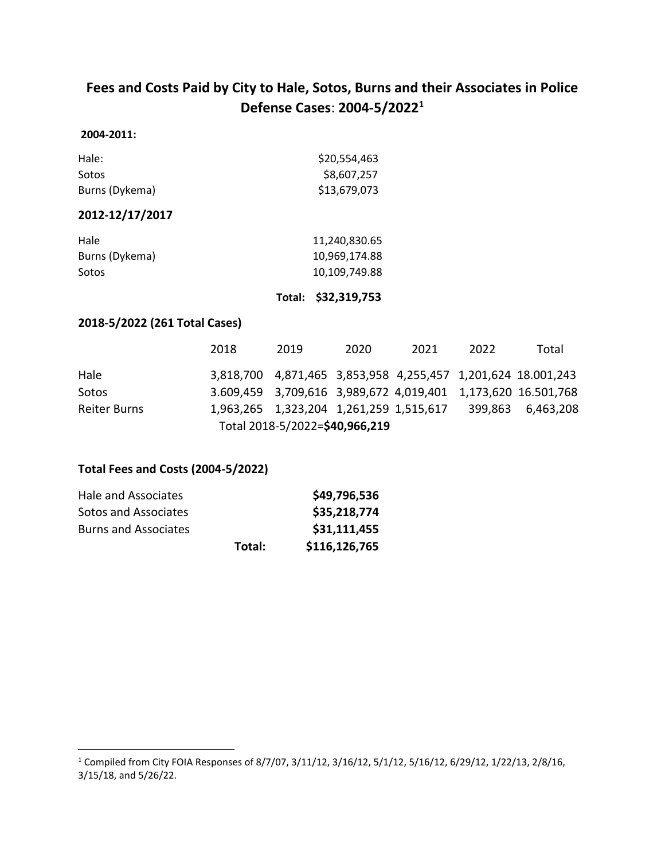# **Fees and Costs Paid by City to Hale, Sotos, Burns and their Associates in Police Defense Cases**: **2004-5/2022<sup>1</sup>**

### **2004-2011:**

| Hale:          | \$20,554,463 |
|----------------|--------------|
| Sotos          | \$8,607,257  |
| Burns (Dykema) | \$13,679,073 |

### **2012-12/17/2017**

| Hale           | 11,240,830.65 |
|----------------|---------------|
| Burns (Dykema) | 10,969,174.88 |
| Sotos          | 10,109,749.88 |

**Total: \$32,319,753**

### **2018-5/2022 (261 Total Cases)**

|              | 2018 | 2019                                    | 2020 | 2021 | 2022 | Total                                                        |
|--------------|------|-----------------------------------------|------|------|------|--------------------------------------------------------------|
| Hale         |      |                                         |      |      |      | 3,818,700 4,871,465 3,853,958 4,255,457 1,201,624 18.001,243 |
| Sotos        |      |                                         |      |      |      | 3.609,459 3,709,616 3,989,672 4,019,401 1,173,620 16.501,768 |
| Reiter Burns |      | 1,963,265 1,323,204 1,261,259 1,515,617 |      |      |      | 399,863 6,463,208                                            |
|              |      | Total 2018-5/2022=\$40,966,219          |      |      |      |                                                              |

### **Total Fees and Costs (2004-5/2022)**

| Hale and Associates         |        | \$49,796,536  |
|-----------------------------|--------|---------------|
| Sotos and Associates        |        | \$35,218,774  |
| <b>Burns and Associates</b> |        | \$31,111,455  |
|                             | Total: | \$116,126,765 |

<sup>1</sup> Compiled from City FOIA Responses of 8/7/07, 3/11/12, 3/16/12, 5/1/12, 5/16/12, 6/29/12, 1/22/13, 2/8/16, 3/15/18, and 5/26/22.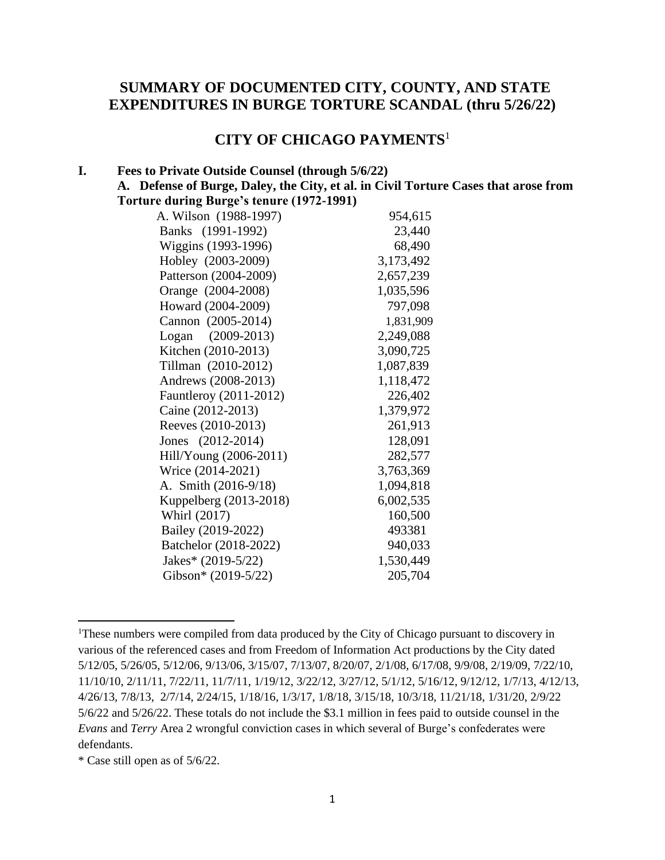# **SUMMARY OF DOCUMENTED CITY, COUNTY, AND STATE EXPENDITURES IN BURGE TORTURE SCANDAL (thru 5/26/22)**

# **CITY OF CHICAGO PAYMENTS**<sup>1</sup>

#### **I. Fees to Private Outside Counsel (through 5/6/22)**

**A. Defense of Burge, Daley, the City, et al. in Civil Torture Cases that arose from Torture during Burge's tenure (1972-1991)**

| A. Wilson (1988-1997)    | 954,615   |
|--------------------------|-----------|
| Banks (1991-1992)        | 23,440    |
| Wiggins (1993-1996)      | 68,490    |
| Hobley (2003-2009)       | 3,173,492 |
| Patterson (2004-2009)    | 2,657,239 |
| Orange (2004-2008)       | 1,035,596 |
| Howard (2004-2009)       | 797,098   |
| Cannon (2005-2014)       | 1,831,909 |
| $(2009 - 2013)$<br>Logan | 2,249,088 |
| Kitchen (2010-2013)      | 3,090,725 |
| Tillman (2010-2012)      | 1,087,839 |
| Andrews (2008-2013)      | 1,118,472 |
| Fauntleroy (2011-2012)   | 226,402   |
| Caine (2012-2013)        | 1,379,972 |
| Reeves (2010-2013)       | 261,913   |
| Jones (2012-2014)        | 128,091   |
| Hill/Young (2006-2011)   | 282,577   |
| Wrice (2014-2021)        | 3,763,369 |
| A. Smith (2016-9/18)     | 1,094,818 |
| Kuppelberg (2013-2018)   | 6,002,535 |
| Whirl (2017)             | 160,500   |
| Bailey (2019-2022)       | 493381    |
| Batchelor (2018-2022)    | 940,033   |
| Jakes* (2019-5/22)       | 1,530,449 |
| Gibson* (2019-5/22)      | 205,704   |
|                          |           |

<sup>&</sup>lt;sup>1</sup>These numbers were compiled from data produced by the City of Chicago pursuant to discovery in various of the referenced cases and from Freedom of Information Act productions by the City dated 5/12/05, 5/26/05, 5/12/06, 9/13/06, 3/15/07, 7/13/07, 8/20/07, 2/1/08, 6/17/08, 9/9/08, 2/19/09, 7/22/10, 11/10/10, 2/11/11, 7/22/11, 11/7/11, 1/19/12, 3/22/12, 3/27/12, 5/1/12, 5/16/12, 9/12/12, 1/7/13, 4/12/13, 4/26/13, 7/8/13, 2/7/14, 2/24/15, 1/18/16, 1/3/17, 1/8/18, 3/15/18, 10/3/18, 11/21/18, 1/31/20, 2/9/22 5/6/22 and 5/26/22. These totals do not include the \$3.1 million in fees paid to outside counsel in the *Evans* and *Terry* Area 2 wrongful conviction cases in which several of Burge's confederates were defendants.

<sup>\*</sup> Case still open as of 5/6/22.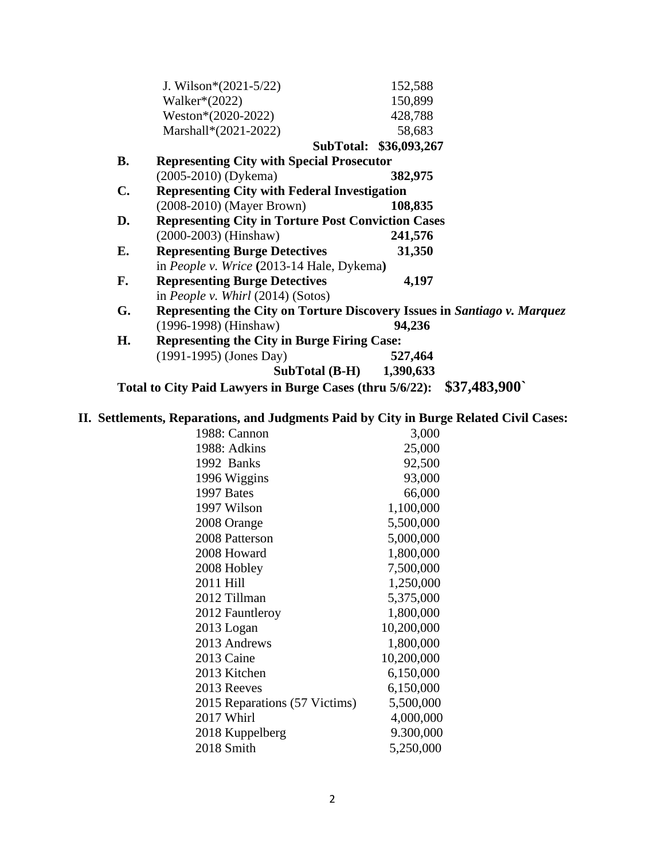|                | Total to City Paid Lawyers in Burge Cases (thru 5/6/22):                 | \$37,483,900           |
|----------------|--------------------------------------------------------------------------|------------------------|
|                | <b>SubTotal (B-H)</b>                                                    | 1,390,633              |
|                | $(1991-1995)$ (Jones Day)                                                | 527,464                |
| Н.             | <b>Representing the City in Burge Firing Case:</b>                       |                        |
|                | $(1996-1998)$ (Hinshaw)                                                  | 94,236                 |
| G.             | Representing the City on Torture Discovery Issues in Santiago v. Marquez |                        |
|                | in People v. Whirl $(2014)$ (Sotos)                                      |                        |
| F.             | <b>Representing Burge Detectives</b>                                     | 4,197                  |
|                | in People v. Wrice (2013-14 Hale, Dykema)                                |                        |
| Е.             | <b>Representing Burge Detectives</b>                                     | 31,350                 |
|                | $(2000-2003)$ (Hinshaw)                                                  | 241,576                |
| D.             | <b>Representing City in Torture Post Conviction Cases</b>                |                        |
|                | $(2008-2010)$ (Mayer Brown)                                              | 108,835                |
| $\mathbf{C}$ . | <b>Representing City with Federal Investigation</b>                      |                        |
|                | $(2005-2010)$ (Dykema)                                                   | 382,975                |
| <b>B.</b>      | <b>Representing City with Special Prosecutor</b>                         |                        |
|                |                                                                          | SubTotal: \$36,093,267 |
|                | Marshall*(2021-2022)                                                     | 58,683                 |
|                | Weston*(2020-2022)                                                       | 428,788                |
|                | Walker $*(2022)$                                                         | 150,899                |
|                | J. Wilson* $(2021-5/22)$                                                 | 152,588                |

## **II. Settlements, Reparations, and Judgments Paid by City in Burge Related Civil Cases:**

| 1988: Cannon                  | 3,000      |
|-------------------------------|------------|
| 1988: Adkins                  | 25,000     |
| 1992 Banks                    | 92,500     |
| 1996 Wiggins                  | 93,000     |
| 1997 Bates                    | 66,000     |
| 1997 Wilson                   | 1,100,000  |
| 2008 Orange                   | 5,500,000  |
| 2008 Patterson                | 5,000,000  |
| 2008 Howard                   | 1,800,000  |
| 2008 Hobley                   | 7,500,000  |
| 2011 Hill                     | 1,250,000  |
| 2012 Tillman                  | 5,375,000  |
| 2012 Fauntleroy               | 1,800,000  |
| 2013 Logan                    | 10,200,000 |
| 2013 Andrews                  | 1,800,000  |
| 2013 Caine                    | 10,200,000 |
| 2013 Kitchen                  | 6,150,000  |
| 2013 Reeves                   | 6,150,000  |
| 2015 Reparations (57 Victims) | 5,500,000  |
| 2017 Whirl                    | 4,000,000  |
| 2018 Kuppelberg               | 9.300,000  |
| 2018 Smith                    | 5,250,000  |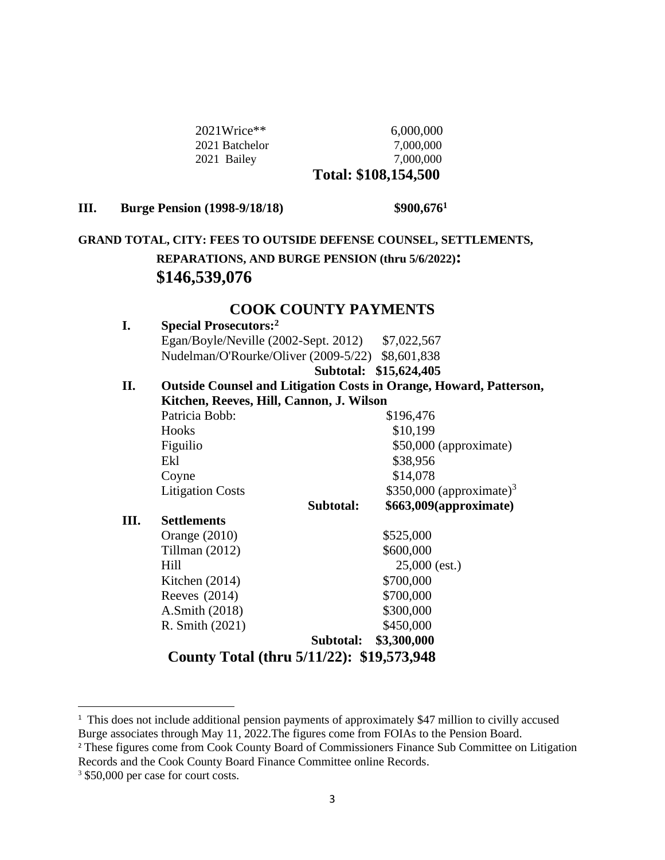| $2021$ Wrice** | 6,000,000            |
|----------------|----------------------|
| 2021 Batchelor | 7.000.000            |
| 2021 Bailey    | 7,000,000            |
|                | Total: \$108,154,500 |

### **III. Burge Pension (1998-9/18/18) \$900,676<sup>1</sup>**

# **GRAND TOTAL, CITY: FEES TO OUTSIDE DEFENSE COUNSEL, SETTLEMENTS, REPARATIONS, AND BURGE PENSION (thru 5/6/2022): \$146,539,076**

# **COOK COUNTY PAYMENTS**

| I.   | <b>Special Prosecutors:</b> <sup>2</sup>                                  |                                      |  |
|------|---------------------------------------------------------------------------|--------------------------------------|--|
|      | Egan/Boyle/Neville (2002-Sept. 2012) \$7,022,567                          |                                      |  |
|      | Nudelman/O'Rourke/Oliver (2009-5/22) \$8,601,838                          |                                      |  |
|      |                                                                           | Subtotal: \$15,624,405               |  |
| II.  | <b>Outside Counsel and Litigation Costs in Orange, Howard, Patterson,</b> |                                      |  |
|      | Kitchen, Reeves, Hill, Cannon, J. Wilson                                  |                                      |  |
|      | Patricia Bobb:                                                            | \$196,476                            |  |
|      | Hooks                                                                     | \$10,199                             |  |
|      | Figuilio                                                                  | \$50,000 (approximate)               |  |
|      | Ekl                                                                       | \$38,956                             |  |
|      | Coyne                                                                     | \$14,078                             |  |
|      | <b>Litigation Costs</b>                                                   | \$350,000 (approximate) <sup>3</sup> |  |
|      | Subtotal:                                                                 | \$663,009(approximate)               |  |
| III. | <b>Settlements</b>                                                        |                                      |  |
|      | Orange $(2010)$                                                           | \$525,000                            |  |
|      | Tillman $(2012)$                                                          | \$600,000                            |  |
|      | Hill                                                                      | $25,000$ (est.)                      |  |
|      | Kitchen $(2014)$                                                          | \$700,000                            |  |
|      | Reeves $(2014)$                                                           | \$700,000                            |  |
|      | A.Smith (2018)                                                            | \$300,000                            |  |
|      | R. Smith (2021)                                                           | \$450,000                            |  |
|      | Subtotal:                                                                 | \$3,300,000                          |  |
|      | County Total (thru 5/11/22): \$19,573,948                                 |                                      |  |
|      |                                                                           |                                      |  |

<sup>&</sup>lt;sup>1</sup> This does not include additional pension payments of approximately \$47 million to civilly accused Burge associates through May 11, 2022.The figures come from FOIAs to the Pension Board.

<sup>&</sup>lt;sup>2</sup> These figures come from Cook County Board of Commissioners Finance Sub Committee on Litigation Records and the Cook County Board Finance Committee online Records.

<sup>&</sup>lt;sup>3</sup> \$50,000 per case for court costs.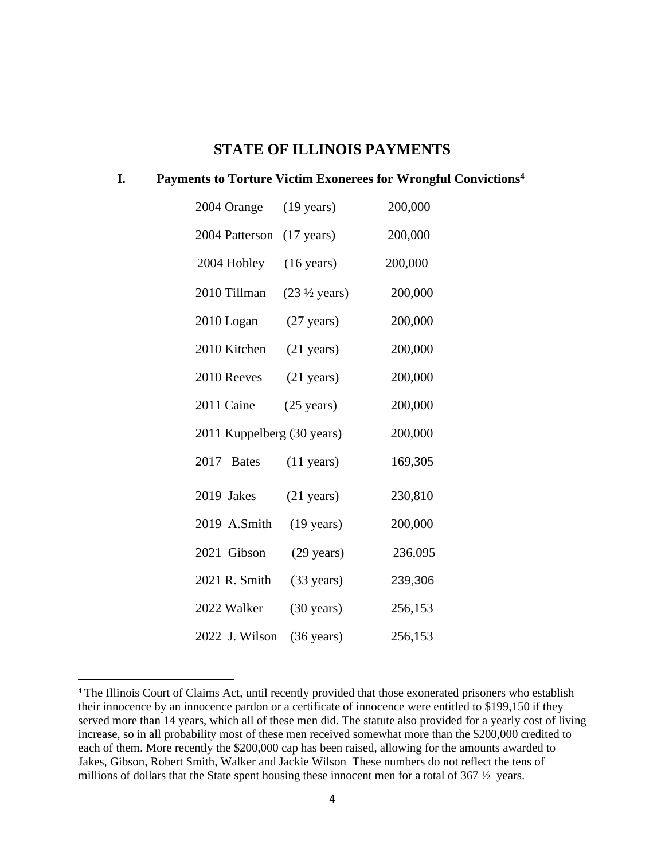## **STATE OF ILLINOIS PAYMENTS**

### **I. Payments to Torture Victim Exonerees for Wrongful Convictions<sup>4</sup>**

| 2004 Orange                | $(19 \text{ years})$             | 200,000 |
|----------------------------|----------------------------------|---------|
| 2004 Patterson             | $(17 \text{ years})$             | 200,000 |
| 2004 Hobley                | $(16 \text{ years})$             | 200,000 |
| 2010 Tillman               | $(23 \frac{1}{2} \text{ years})$ | 200,000 |
| 2010 Logan                 | $(27 \text{ years})$             | 200,000 |
| 2010 Kitchen               | $(21 \text{ years})$             | 200,000 |
| 2010 Reeves                | $(21 \text{ years})$             | 200,000 |
| 2011 Caine                 | $(25 \text{ years})$             | 200,000 |
| 2011 Kuppelberg (30 years) |                                  | 200,000 |
| 2017<br><b>Bates</b>       | $(11 \text{ years})$             | 169,305 |
| 2019 Jakes                 | $(21 \text{ years})$             | 230,810 |
| 2019 A.Smith               | $(19 \text{ years})$             | 200,000 |
| 2021 Gibson                | $(29 \text{ years})$             | 236,095 |
| 2021 R. Smith              | $(33 \text{ years})$             | 239,306 |
| 2022 Walker                | $(30 \text{ years})$             | 256,153 |
| 2022 J. Wilson             | $(36 \text{ years})$             | 256,153 |

<sup>&</sup>lt;sup>4</sup> The Illinois Court of Claims Act, until recently provided that those exonerated prisoners who establish their innocence by an innocence pardon or a certificate of innocence were entitled to \$199,150 if they served more than 14 years, which all of these men did. The statute also provided for a yearly cost of living increase, so in all probability most of these men received somewhat more than the \$200,000 credited to each of them. More recently the \$200,000 cap has been raised, allowing for the amounts awarded to Jakes, Gibson, Robert Smith, Walker and Jackie Wilson These numbers do not reflect the tens of millions of dollars that the State spent housing these innocent men for a total of 367  $\frac{1}{2}$  years.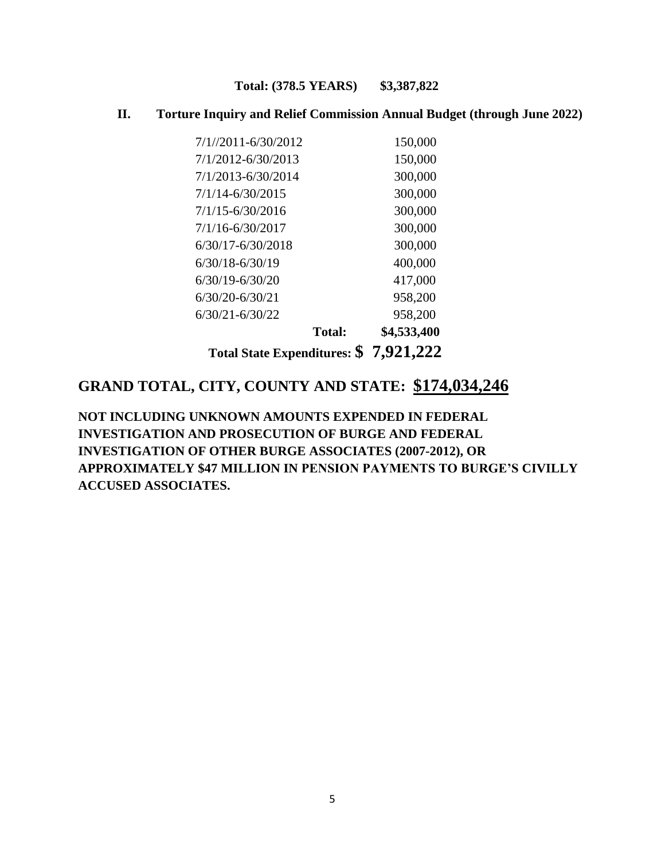### **Total: (378.5 YEARS) \$3,387,822**

## **II. Torture Inquiry and Relief Commission Annual Budget (through June 2022)**

|                       | Total State Expenditures: \$7,921,222 |             |
|-----------------------|---------------------------------------|-------------|
|                       | <b>Total:</b>                         | \$4,533,400 |
| $6/30/21 - 6/30/22$   |                                       | 958,200     |
| $6/30/20 - 6/30/21$   |                                       | 958,200     |
| $6/30/19 - 6/30/20$   |                                       | 417,000     |
| $6/30/18 - 6/30/19$   |                                       | 400,000     |
| $6/30/17 - 6/30/2018$ |                                       | 300,000     |
| $7/1/16 - 6/30/2017$  |                                       | 300,000     |
| 7/1/15-6/30/2016      |                                       | 300,000     |
| $7/1/14 - 6/30/2015$  |                                       | 300,000     |
|                       | 7/1/2013-6/30/2014                    | 300,000     |
|                       | 7/1/2012-6/30/2013                    | 150,000     |
|                       | $7/1/2011 - 6/30/2012$                | 150,000     |

# **GRAND TOTAL, CITY, COUNTY AND STATE: \$174,034,246**

**NOT INCLUDING UNKNOWN AMOUNTS EXPENDED IN FEDERAL INVESTIGATION AND PROSECUTION OF BURGE AND FEDERAL INVESTIGATION OF OTHER BURGE ASSOCIATES (2007-2012), OR APPROXIMATELY \$47 MILLION IN PENSION PAYMENTS TO BURGE'S CIVILLY ACCUSED ASSOCIATES.**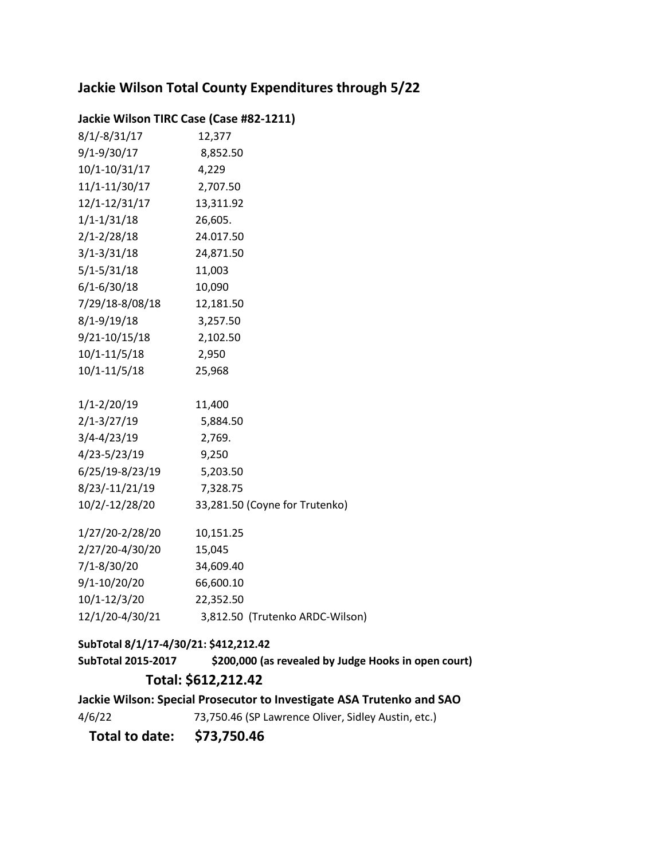# **Jackie Wilson Total County Expenditures through 5/22**

### **Jackie Wilson TIRC Case (Case #82-1211)**

| $8/1/-8/31/17$  | 12,377                          |
|-----------------|---------------------------------|
| 9/1-9/30/17     | 8,852.50                        |
| 10/1-10/31/17   | 4,229                           |
| 11/1-11/30/17   | 2,707.50                        |
| 12/1-12/31/17   | 13,311.92                       |
| $1/1 - 1/31/18$ | 26,605.                         |
| $2/1 - 2/28/18$ | 24.017.50                       |
| $3/1 - 3/31/18$ | 24,871.50                       |
| $5/1 - 5/31/18$ | 11,003                          |
| $6/1 - 6/30/18$ | 10,090                          |
| 7/29/18-8/08/18 | 12,181.50                       |
| 8/1-9/19/18     | 3,257.50                        |
| 9/21-10/15/18   | 2,102.50                        |
| 10/1-11/5/18    | 2,950                           |
| 10/1-11/5/18    | 25,968                          |
|                 |                                 |
| $1/1 - 2/20/19$ | 11,400                          |
| $2/1 - 3/27/19$ | 5,884.50                        |
| $3/4 - 4/23/19$ | 2,769.                          |
| 4/23-5/23/19    | 9,250                           |
| 6/25/19-8/23/19 | 5,203.50                        |
| 8/23/-11/21/19  | 7,328.75                        |
| 10/2/-12/28/20  | 33,281.50 (Coyne for Trutenko)  |
| 1/27/20-2/28/20 | 10,151.25                       |
| 2/27/20-4/30/20 | 15,045                          |
| 7/1-8/30/20     | 34,609.40                       |
| 9/1-10/20/20    | 66,600.10                       |
| 10/1-12/3/20    | 22,352.50                       |
| 12/1/20-4/30/21 | 3,812.50 (Trutenko ARDC-Wilson) |

### **SubTotal 8/1/17-4/30/21: \$412,212.42**

**SubTotal 2015-2017 \$200,000 (as revealed by Judge Hooks in open court) Total: \$612,212.42**

**Jackie Wilson: Special Prosecutor to Investigate ASA Trutenko and SAO**

4/6/2273,750.46 (SP Lawrence Oliver, Sidley Austin, etc.)

 **Total to date: \$73,750.46**